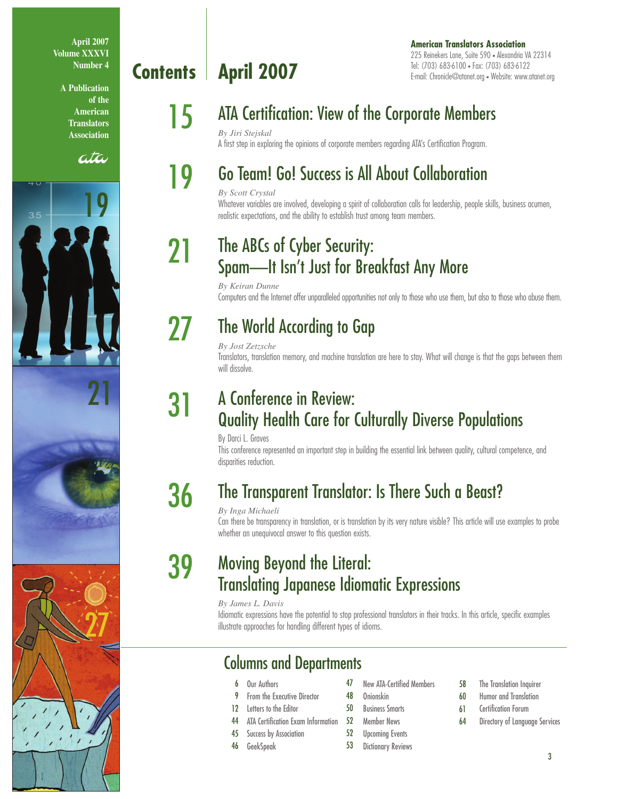**April 2007 Volume XXXVI Number 4**

> **A Publication of the American Translators Association**

> > ata







# **Contents | April 2007**

#### **American Translators Association** 225 Reinekers Lane, Suite 590 • Alexandria VA 22314 Tel: (703) 683-6100 • Fax: (703) 683-6122 E-mail: Chronicle@atanet.org • Website: www.atanet.org

# **15** ATA Certification: View of the Corporate Members

*By Jiri Stejskal*

# A first step in exploring the opinions of corporate members regarding ATA's Certification Program.

## Go Team! Go! Success is All About Collaboration

#### *By Scott Crystal* Whatever variables are involved, developing a spirit of collaboration calls for leadership, people skills, business acumen,

realistic expectations, and the ability to establish trust among team members.

## The ABCs of Cyber Security: Spam—It Isn't Just for Breakfast Any More

*By Keiran Dunne* Computers and the Internet offer unparalleled opportunities not only to those who use them, but also to those who abuse them.

27

31

21

19

## The World According to Gap

*By Jost Zetzsche*

Translators, translation memory, and machine translation are here to stay. What will change is that the gaps between them will dissolve.

## A Conference in Review: Quality Health Care for Culturally Diverse Populations

By Darci L. Graves

This conference represented an important step in building the essential link between quality, cultural competence, and disparities reduction.

#### The Transparent Translator: Is There Such a Beast? 36

#### *By Inga Michaeli*

Can there be transparency in translation, or is translation by its very nature visible? This article will use examples to probe whether an unequivocal answer to this question exists.

#### Moving Beyond the Literal: Translating Japanese Idiomatic Expressions 39

*By James L. Davis*

Idiomatic expressions have the potential to stop professional translators in their tracks. In this article, specific examples illustrate approaches for handling different types of idioms.

## Columns and Departments

- 6 Our Authors
- 9 From the Executive Director
- 12 Letters to the Editor
- 44 ATA Certification Exam Information
- 45 Success by Association
- 46 GeekSpeak
- New ATA-Certified Members 47
- Onionskin 48
- Business Smarts 50
- Member News 52
- Upcoming Events 52
- Dictionary Reviews 53
- The Translation Inquirer 58
- Humor and Translation 60
- Certification Forum 61
- Directory of Language Services 64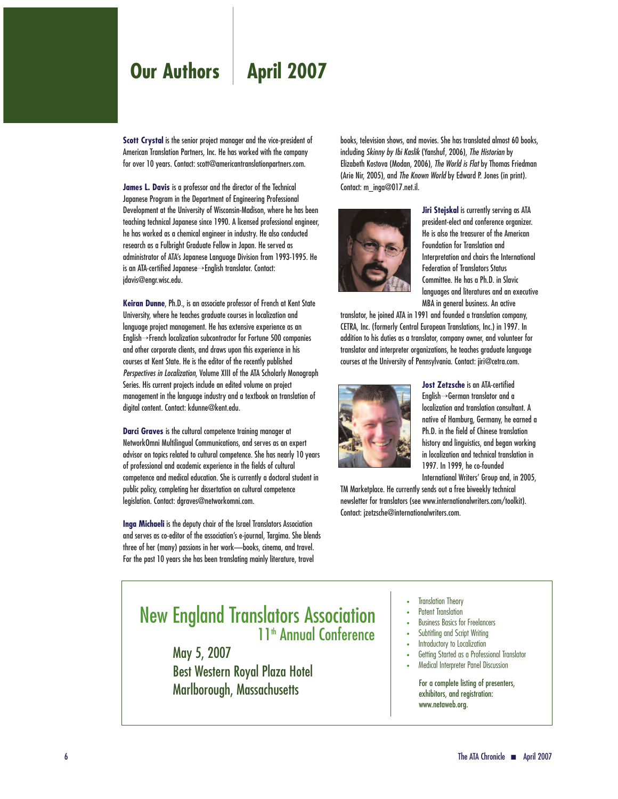## **Our Authors | April 2007**

**Scott Crystal** is the senior project manager and the vice-president of American Translation Partners, Inc. He has worked with the company for over 10 years. Contact: scott@americantranslationpartners.com.

**James L. Davis** is a professor and the director of the Technical Japanese Program in the Department of Engineering Professional Development at the University of Wisconsin-Madison, where he has been teaching technical Japanese since 1990. A licensed professional engineer, he has worked as a chemical engineer in industry. He also conducted research as a Fulbright Graduate Fellow in Japan. He served as administrator of ATA's Japanese Language Division from 1993-1995. He is an ATA-certified Japanese→English translator. Contact: jdavis@engr.wisc.edu.

**Keiran Dunne**, Ph.D., is an associate professor of French at Kent State University, where he teaches graduate courses in localization and language project management. He has extensive experience as an English→French localization subcontractor for Fortune 500 companies and other corporate clients, and draws upon this experience in his courses at Kent State. He is the editor of the recently published *Perspectives in Localization*, Volume XIII of the ATA Scholarly Monograph Series. His current projects include an edited volume on project management in the language industry and a textbook on translation of digital content. Contact: kdunne@kent.edu.

**Darci Graves** is the cultural competence training manager at NetworkOmni Multilingual Communications, and serves as an expert advisor on topics related to cultural competence. She has nearly 10 years of professional and academic experience in the fields of cultural competence and medical education. She is currently a doctoral student in public policy, completing her dissertation on cultural competence legislation. Contact: dgraves@networkomni.com.

**Inga Michaeli** is the deputy chair of the Israel Translators Association and serves as co-editor of the association's e-journal, Targima. She blends three of her (many) passions in her work—books, cinema, and travel. For the past 10 years she has been translating mainly literature, travel

books, television shows, and movies. She has translated almost 60 books, including *Skinny by Ibi Kaslik* (Yanshuf, 2006), *The Historian* by Elizabeth Kostova (Modan, 2006), *The World is Flat* by Thomas Friedman (Arie Nir, 2005), and *The Known World* by Edward P. Jones (in print). Contact: m\_inga@017.net.il.



**Jiri Stejskal** is currently serving as ATA president-elect and conference organizer. He is also the treasurer of the American Foundation for Translation and Interpretation and chairs the International Federation of Translators Status Committee. He has a Ph.D. in Slavic languages and literatures and an executive MBA in general business. An active

translator, he joined ATA in 1991 and founded a translation company, CETRA, Inc. (formerly Central European Translations, Inc.) in 1997. In addition to his duties as a translator, company owner, and volunteer for translator and interpreter organizations, he teaches graduate language courses at the University of Pennsylvania. Contact: jiri@cetra.com.



**Jost Zetzsche** is an ATA-certified English→German translator and a localization and translation consultant. A native of Hamburg, Germany, he earned a Ph.D. in the field of Chinese translation history and linguistics, and began working in localization and technical translation in 1997. In 1999, he co-founded International Writers' Group and, in 2005,

TM Marketplace. He currently sends out a free biweekly technical newsletter for translators (see www.internationalwriters.com/toolkit). Contact: jzetzsche@internationalwriters.com.

### New England Translators Association 11<sup>th</sup> Annual Conference

May 5, 2007 Best Western Royal Plaza Hotel Marlborough, Massachusetts

- **Translation Theory**
- Patent Translation
- Business Basics for Freelancers
- Subtitling and Script Writing
- Introductory to Localization
- Getting Started as a Professional Translator
- Medical Interpreter Panel Discussion

For a complete listing of presenters, exhibitors, and registration: www.netaweb.org.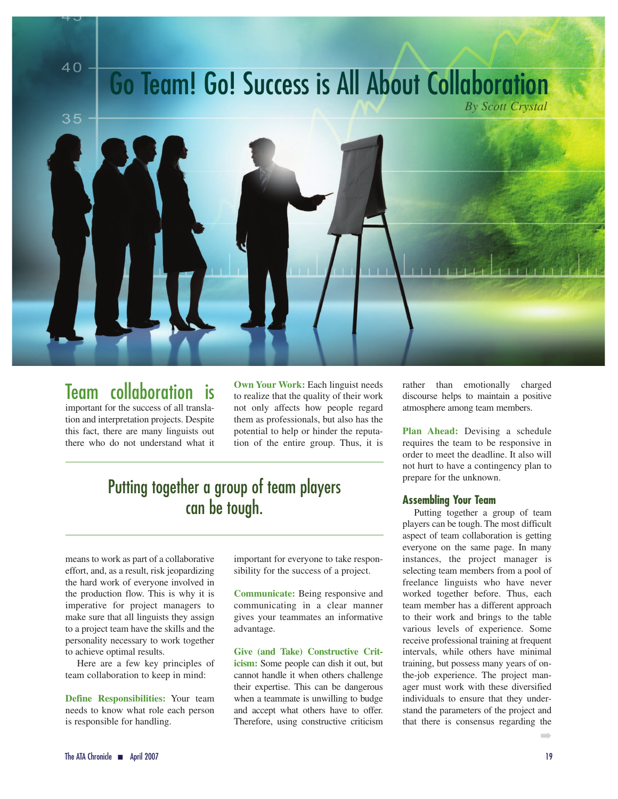## **Go Team! Go! Success is All About Collaboration** *By Scott Crystal*

 $40 -$ 



### Team collaboration is

important for the success of all translation and interpretation projects. Despite this fact, there are many linguists out there who do not understand what it

**Own Your Work:** Each linguist needs to realize that the quality of their work not only affects how people regard them as professionals, but also has the potential to help or hinder the reputation of the entire group. Thus, it is

## Putting together a group of team players can be tough.

means to work as part of a collaborative effort, and, as a result, risk jeopardizing the hard work of everyone involved in the production flow. This is why it is imperative for project managers to make sure that all linguists they assign to a project team have the skills and the personality necessary to work together to achieve optimal results.

Here are a few key principles of team collaboration to keep in mind:

**Define Responsibilities:** Your team needs to know what role each person is responsible for handling.

important for everyone to take responsibility for the success of a project.

**Communicate:** Being responsive and communicating in a clear manner gives your teammates an informative advantage.

**Give (and Take) Constructive Criticism:** Some people can dish it out, but cannot handle it when others challenge their expertise. This can be dangerous when a teammate is unwilling to budge and accept what others have to offer. Therefore, using constructive criticism rather than emotionally charged discourse helps to maintain a positive atmosphere among team members.

**Plan Ahead:** Devising a schedule requires the team to be responsive in order to meet the deadline. It also will not hurt to have a contingency plan to prepare for the unknown.

#### **Assembling Your Team**

Putting together a group of team players can be tough. The most difficult aspect of team collaboration is getting everyone on the same page. In many instances, the project manager is selecting team members from a pool of freelance linguists who have never worked together before. Thus, each team member has a different approach to their work and brings to the table various levels of experience. Some receive professional training at frequent intervals, while others have minimal training, but possess many years of onthe-job experience. The project manager must work with these diversified individuals to ensure that they understand the parameters of the project and that there is consensus regarding the

➡